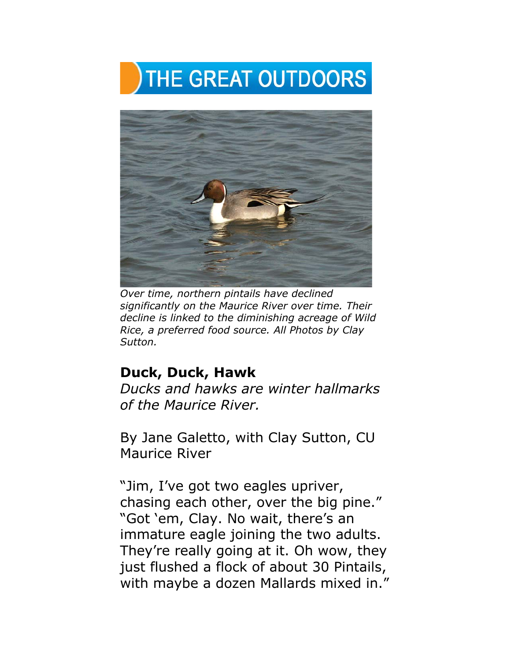



*Over time, northern pintails have declined significantly on the Maurice River over time. Their decline is linked to the diminishing acreage of Wild Rice, a preferred food source. All Photos by Clay Sutton.*

## **Duck, Duck, Hawk**

*Ducks and hawks are winter hallmarks of the Maurice River.* 

By Jane Galetto, with Clay Sutton, CU Maurice River

"Jim, I've got two eagles upriver, chasing each other, over the big pine." "Got 'em, Clay. No wait, there's an immature eagle joining the two adults. They're really going at it. Oh wow, they just flushed a flock of about 30 Pintails, with maybe a dozen Mallards mixed in."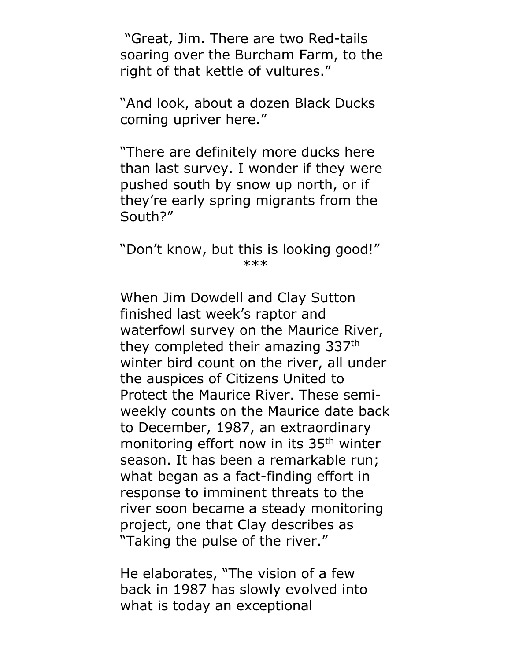"Great, Jim. There are two Red-tails soaring over the Burcham Farm, to the right of that kettle of vultures."

"And look, about a dozen Black Ducks coming upriver here."

"There are definitely more ducks here than last survey. I wonder if they were pushed south by snow up north, or if they're early spring migrants from the South?"

"Don't know, but this is looking good!" \*\*\*

When Jim Dowdell and Clay Sutton finished last week's raptor and waterfowl survey on the Maurice River, they completed their amazing 337th winter bird count on the river, all under the auspices of Citizens United to Protect the Maurice River. These semiweekly counts on the Maurice date back to December, 1987, an extraordinary monitoring effort now in its 35<sup>th</sup> winter season. It has been a remarkable run; what began as a fact-finding effort in response to imminent threats to the river soon became a steady monitoring project, one that Clay describes as "Taking the pulse of the river."

He elaborates, "The vision of a few back in 1987 has slowly evolved into what is today an exceptional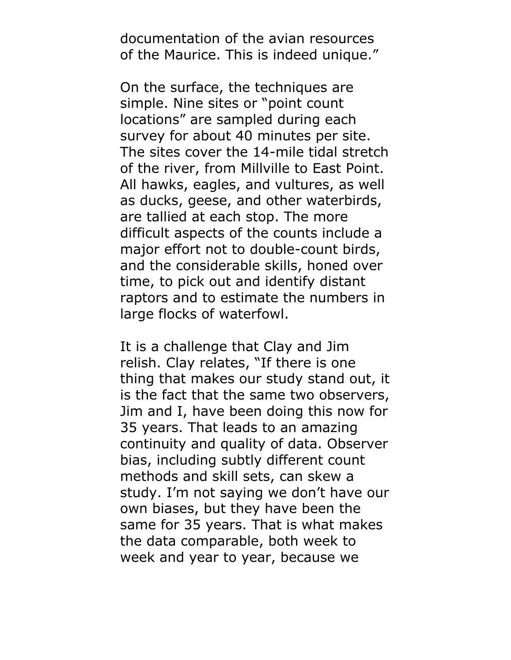documentation of the avian resources of the Maurice. This is indeed unique."

On the surface, the techniques are simple. Nine sites or "point count locations" are sampled during each survey for about 40 minutes per site. The sites cover the 14-mile tidal stretch of the river, from Millville to East Point. All hawks, eagles, and vultures, as well as ducks, geese, and other waterbirds, are tallied at each stop. The more difficult aspects of the counts include a major effort not to double-count birds, and the considerable skills, honed over time, to pick out and identify distant raptors and to estimate the numbers in large flocks of waterfowl.

It is a challenge that Clay and Jim relish. Clay relates, "If there is one thing that makes our study stand out, it is the fact that the same two observers, Jim and I, have been doing this now for 35 years. That leads to an amazing continuity and quality of data. Observer bias, including subtly different count methods and skill sets, can skew a study. I'm not saying we don't have our own biases, but they have been the same for 35 years. That is what makes the data comparable, both week to week and year to year, because we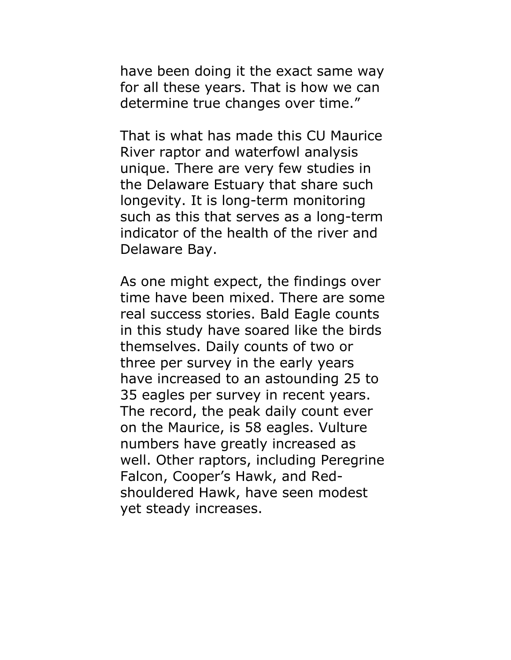have been doing it the exact same way for all these years. That is how we can determine true changes over time."

That is what has made this CU Maurice River raptor and waterfowl analysis unique. There are very few studies in the Delaware Estuary that share such longevity. It is long-term monitoring such as this that serves as a long-term indicator of the health of the river and Delaware Bay.

As one might expect, the findings over time have been mixed. There are some real success stories. Bald Eagle counts in this study have soared like the birds themselves. Daily counts of two or three per survey in the early years have increased to an astounding 25 to 35 eagles per survey in recent years. The record, the peak daily count ever on the Maurice, is 58 eagles. Vulture numbers have greatly increased as well. Other raptors, including Peregrine Falcon, Cooper's Hawk, and Redshouldered Hawk, have seen modest yet steady increases.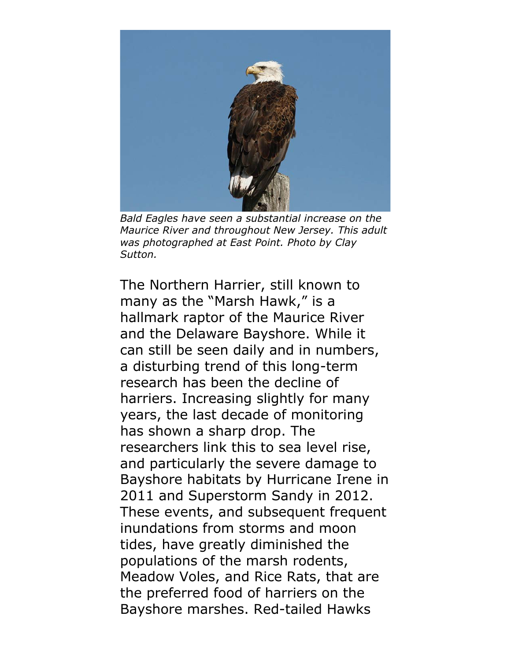

*Bald Eagles have seen a substantial increase on the Maurice River and throughout New Jersey. This adult was photographed at East Point. Photo by Clay Sutton.*

The Northern Harrier, still known to many as the "Marsh Hawk," is a hallmark raptor of the Maurice River and the Delaware Bayshore. While it can still be seen daily and in numbers, a disturbing trend of this long-term research has been the decline of harriers. Increasing slightly for many years, the last decade of monitoring has shown a sharp drop. The researchers link this to sea level rise, and particularly the severe damage to Bayshore habitats by Hurricane Irene in 2011 and Superstorm Sandy in 2012. These events, and subsequent frequent inundations from storms and moon tides, have greatly diminished the populations of the marsh rodents, Meadow Voles, and Rice Rats, that are the preferred food of harriers on the Bayshore marshes. Red-tailed Hawks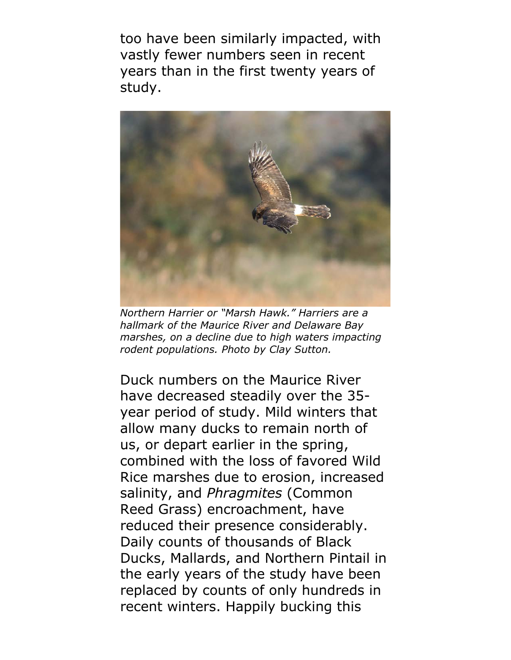too have been similarly impacted, with vastly fewer numbers seen in recent years than in the first twenty years of study.



*Northern Harrier or "Marsh Hawk." Harriers are a hallmark of the Maurice River and Delaware Bay marshes, on a decline due to high waters impacting rodent populations. Photo by Clay Sutton.*

Duck numbers on the Maurice River have decreased steadily over the 35 year period of study. Mild winters that allow many ducks to remain north of us, or depart earlier in the spring, combined with the loss of favored Wild Rice marshes due to erosion, increased salinity, and *Phragmites* (Common Reed Grass) encroachment, have reduced their presence considerably. Daily counts of thousands of Black Ducks, Mallards, and Northern Pintail in the early years of the study have been replaced by counts of only hundreds in recent winters. Happily bucking this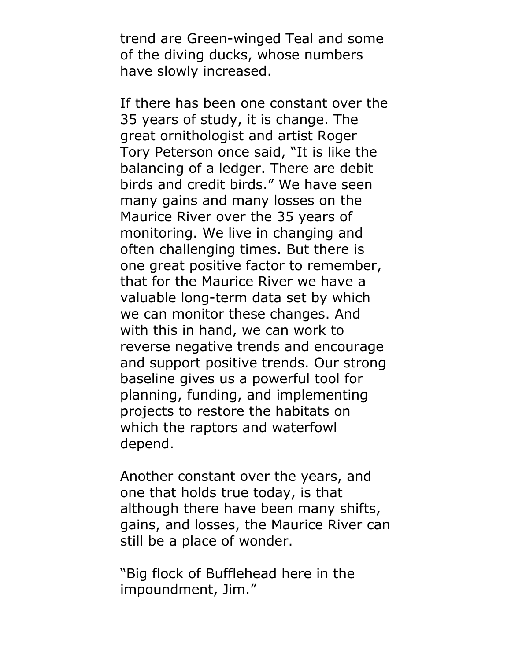trend are Green-winged Teal and some of the diving ducks, whose numbers have slowly increased.

If there has been one constant over the 35 years of study, it is change. The great ornithologist and artist Roger Tory Peterson once said, "It is like the balancing of a ledger. There are debit birds and credit birds." We have seen many gains and many losses on the Maurice River over the 35 years of monitoring. We live in changing and often challenging times. But there is one great positive factor to remember, that for the Maurice River we have a valuable long-term data set by which we can monitor these changes. And with this in hand, we can work to reverse negative trends and encourage and support positive trends. Our strong baseline gives us a powerful tool for planning, funding, and implementing projects to restore the habitats on which the raptors and waterfowl depend.

Another constant over the years, and one that holds true today, is that although there have been many shifts, gains, and losses, the Maurice River can still be a place of wonder.

"Big flock of Bufflehead here in the impoundment, Jim."